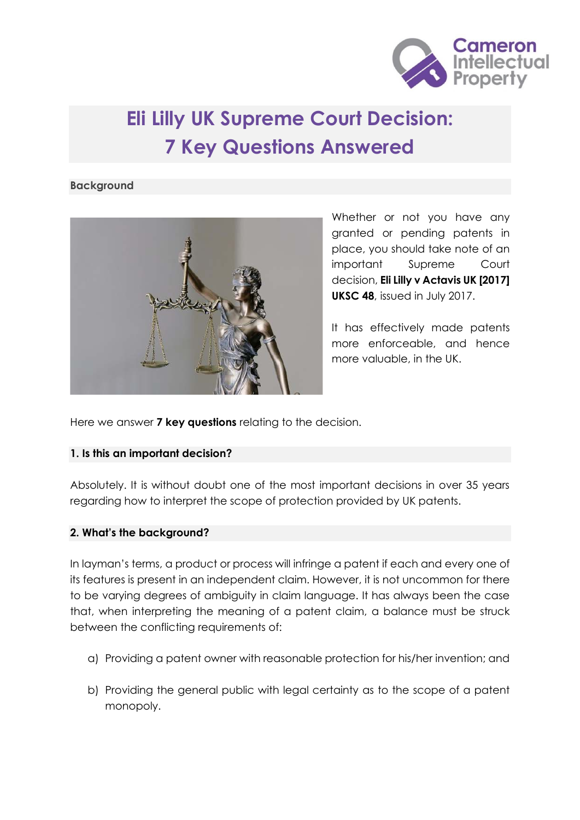

# **Eli Lilly UK Supreme Court Decision: 7 Key Questions Answered**

#### **Background**



Whether or not you have any granted or pending patents in place, you should take note of an important Supreme Court decision, **Eli Lilly v Actavis UK [2017] UKSC 48**, issued in July 2017.

It has effectively made patents more enforceable, and hence more valuable, in the UK.

Here we answer **7 key questions** relating to the decision.

## **1. Is this an important decision?**

Absolutely. It is without doubt one of the most important decisions in over 35 years regarding how to interpret the scope of protection provided by UK patents.

## **2. What's the background?**

In layman's terms, a product or process will infringe a patent if each and every one of its features is present in an independent claim. However, it is not uncommon for there to be varying degrees of ambiguity in claim language. It has always been the case that, when interpreting the meaning of a patent claim, a balance must be struck between the conflicting requirements of:

- a) Providing a patent owner with reasonable protection for his/her invention; and
- b) Providing the general public with legal certainty as to the scope of a patent monopoly.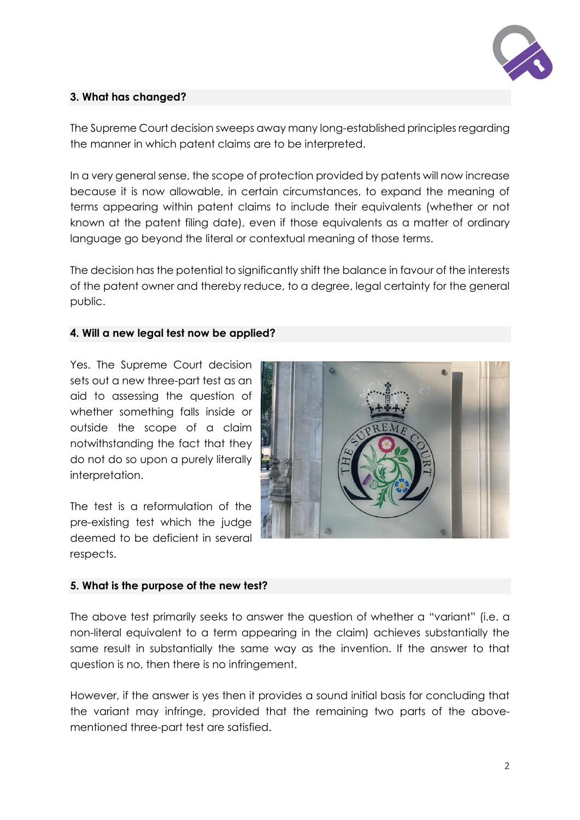

## **3. What has changed?**

The Supreme Court decision sweeps away many long-established principles regarding the manner in which patent claims are to be interpreted.

In a very general sense, the scope of protection provided by patents will now increase because it is now allowable, in certain circumstances, to expand the meaning of terms appearing within patent claims to include their equivalents (whether or not known at the patent filing date), even if those equivalents as a matter of ordinary language go beyond the literal or contextual meaning of those terms.

The decision has the potential to significantly shift the balance in favour of the interests of the patent owner and thereby reduce, to a degree, legal certainty for the general public.

#### **4. Will a new legal test now be applied?**

Yes. The Supreme Court decision sets out a new three-part test as an aid to assessing the question of whether something falls inside or outside the scope of a claim notwithstanding the fact that they do not do so upon a purely literally interpretation.

The test is a reformulation of the pre-existing test which the judge deemed to be deficient in several respects.



## **5. What is the purpose of the new test?**

The above test primarily seeks to answer the question of whether a "variant" (i.e. a non-literal equivalent to a term appearing in the claim) achieves substantially the same result in substantially the same way as the invention. If the answer to that question is no, then there is no infringement.

However, if the answer is yes then it provides a sound initial basis for concluding that the variant may infringe, provided that the remaining two parts of the abovementioned three-part test are satisfied.